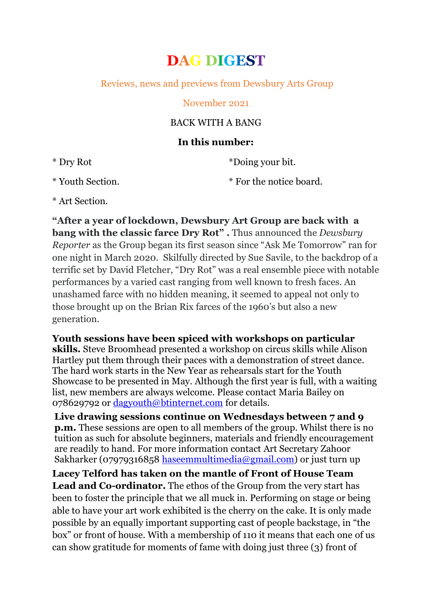# **DAG DIGEST**

## Reviews, news and previews from Dewsbury Arts Group

#### November 2021

## BACK WITH A BANG

#### **In this number:**

\* Dry Rot

\*Doing your bit.

\* Youth Section.

\* For the notice board.

\* Art Section.

**"After a year of lockdown, Dewsbury Art Group are back with a bang with the classic farce Dry Rot" .** Thus announced the *Dewsbury Reporter* as the Group began its first season since "Ask Me Tomorrow" ran for one night in March 2020. Skilfully directed by Sue Savile, to the backdrop of a terrific set by David Fletcher, "Dry Rot" was a real ensemble piece with notable performances by a varied cast ranging from well known to fresh faces. An unashamed farce with no hidden meaning, it seemed to appeal not only to those brought up on the Brian Rix farces of the 1960's but also a new generation.

**Youth sessions have been spiced with workshops on particular skills.** Steve Broomhead presented a workshop on circus skills while Alison Hartley put them through their paces with a demonstration of street dance. The hard work starts in the New Year as rehearsals start for the Youth Showcase to be presented in May. Although the first year is full, with a waiting list, new members are always welcome. Please contact Maria Bailey on 078629792 or [dagyouth@btinternet.com](mailto:dagyouth@btinternet.com) for details.

**Live drawing sessions continue on Wednesdays between 7 and 9 p.m.** These sessions are open to all members of the group. Whilst there is no tuition as such for absolute beginners, materials and friendly encouragement are readily to hand. For more information contact Art Secretary Zahoor Sakharker (07979316858 [haseemmultimedia@gmail.com\)](mailto:haseemmultimedia@gmail.com) or just turn up

**Lacey Telford has taken on the mantle of Front of House Team Lead and Co-ordinator.** The ethos of the Group from the very start has been to foster the principle that we all muck in. Performing on stage or being able to have your art work exhibited is the cherry on the cake. It is only made possible by an equally important supporting cast of people backstage, in "the box" or front of house. With a membership of 110 it means that each one of us can show gratitude for moments of fame with doing just three (3) front of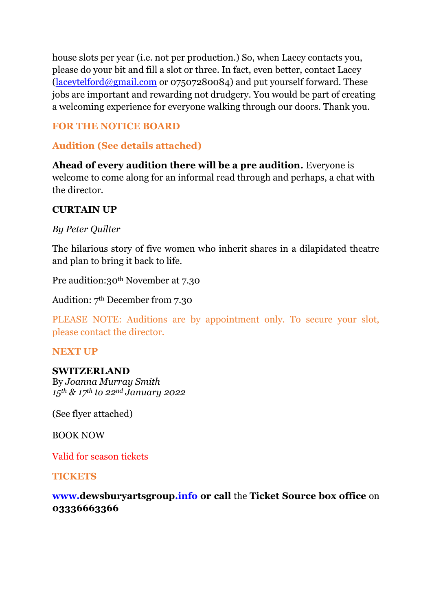house slots per year (i.e. not per production.) So, when Lacey contacts you, please do your bit and fill a slot or three. In fact, even better, contact Lacey [\(laceytelford@gmail.com](mailto:laceytelford@gmail.com) or 07507280084) and put yourself forward. These jobs are important and rewarding not drudgery. You would be part of creating a welcoming experience for everyone walking through our doors. Thank you.

## **FOR THE NOTICE BOARD**

## **Audition (See details attached)**

**Ahead of every audition there will be a pre audition.** Everyone is welcome to come along for an informal read through and perhaps, a chat with the director.

## **CURTAIN UP**

*By Peter Quilter*

The hilarious story of five women who inherit shares in a dilapidated theatre and plan to bring it back to life.

Pre audition:30<sup>th</sup> November at 7.30

Audition: 7th December from 7.30

PLEASE NOTE: Auditions are by appointment only. To secure your slot, please contact the director.

## **NEXT UP**

## **SWITZERLAND**

By *Joanna Murray Smith 15th & 17th to 22nd January 2022*

(See flyer attached)

BOOK NOW

Valid for season tickets

**TICKETS**

**[www.dewsburyartsgroup.info](http://www.dewsburyartsgroup.info/) or call** the **Ticket Source box office** on **03336663366**